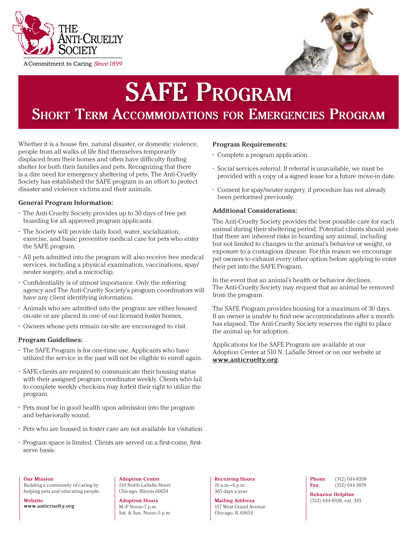



# **SAFE Program Short Term Accommodations for Emergencies Program**

Whether it is a house fire, natural disaster, or domestic violence, people from all walks of life find themselves temporarily displaced from their homes and often have difficulty finding shelter for both their families and pets. Recognizing that there is a dire need for emergency sheltering of pets, The Anti-Cruelty Society has established the SAFE program in an effort to protect disaster and violence victims and their animals.

# **General Program Information:**

- The Anti-Cruelty Society provides up to 30 days of free pet boarding for all approved program applicants.
- The Society will provide daily food, water, socialization, exercise, and basic preventive medical care for pets who enter the SAFE program.
- All pets admitted into the program will also receive free medical services, including a physical examination, vaccinations, spay/ neuter surgery, and a microchip.
- Confidentiality is of utmost importance. Only the referring agency and The Anti-Cruelty Society's program coordinators will have any client identifying information.
- Animals who are admitted into the program are either housed on-site or are placed in one of our licensed foster homes.
- Owners whose pets remain on-site are encouraged to visit.

# **Program Guidelines:**

- The SAFE Program is for one-time use. Applicants who have utilized the service in the past will not be eligible to enroll again.
- SAFE clients are required to communicate their housing status with their assigned program coordinator weekly. Clients who fail to complete weekly check-ins may forfeit their right to utilize the program.
- Pets must be in good health upon admission into the program and behaviorally sound.
- Pets who are housed in foster care are not available for visitation.
- Program space is limited. Clients are served on a first-come, firstserve basis.

# **Program Requirements:**

- Complete a program application.
- Social services referral. If referral is unavailable, we must be provided with a copy of a signed lease for a future move-in date.
- Consent for spay/neuter surgery, if procedure has not already been performed previously.

# **Additional Considerations:**

The Anti-Cruelty Society provides the best possible care for each animal during their sheltering period. Potential clients should note that there are inherent risks in boarding any animal, including but not limited to changes in the animal's behavior or weight, or exposure to a contagious disease. For this reason we encourage pet owners to exhaust every other option before applying to enter their pet into the SAFE Program.

In the event that an animal's health or behavior declines, The Anti-Cruelty Society may request that an animal be removed from the program.

The SAFE Program provides housing for a maximum of 30 days. If an owner is unable to find new accommodations after a month has elapsed, The Anti-Cruelty Society reserves the right to place the animal up for adoption.

Applications for the SAFE Program are available at our Adoption Center at 510 N. LaSalle Street or on our website at **www.anticruelty.org**.

**Our Mission**

Building a community of caring by helping pets and educating people.

**Website www.anticruelty.org**

**Adoption Center** 510 North LaSalle Street Chicago, Illinois 60654

**Adoption Hours** M–F Noon–7 p.m. Sat. & Sun. Noon–5 p.m.

**Receiving Hours** 10 a.m.–6 p.m. 365 days a year

**Mailing Address** 157 West Grand Avenue Chicago, IL 60654

**Phone** (312) 644-8338 **Fax** (312) 644-3878

**Behavior Helpline** (312) 644-8338, ext. 343